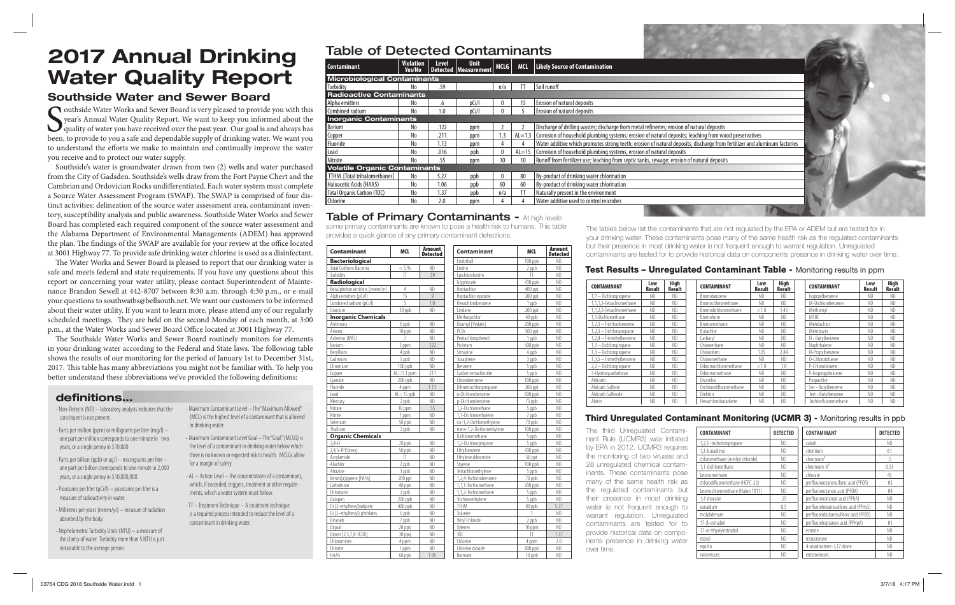# **2017 Annual Drinking Water Quality Report**

### **Southside Water and Sewer Board**

Southside Water Works and Sewer Board is very pleased to provide you with this year's Annual Water Quality Report. We want to keep you informed about the quality of water you have received over the past year. Our goal is a year's Annual Water Quality Report. We want to keep you informed about the quality of water you have received over the past year. Our goal is and always has been, to provide to you a safe and dependable supply of drinking water. We want you to understand the efforts we make to maintain and continually improve the water you receive and to protect our water supply.

Southside's water is groundwater drawn from two (2) wells and water purchased from the City of Gadsden. Southside's wells draw from the Fort Payne Chert and the Cambrian and Ordovician Rocks undifferentiated. Each water system must complete a Source Water Assessment Program (SWAP). The SWAP is comprised of four distinct activities: delineation of the source water assessment area, contaminant inventory, susceptibility analysis and public awareness. Southside Water Works and Sewer Board has completed each required component of the source water assessment and the Alabama Department of Environmental Managements (ADEM) has approved the plan. The findings of the SWAP are available for your review at the office located at 3001 Highway 77. To provide safe drinking water chlorine is used as a disinfectant.

The Water Works and Sewer Board is pleased to report that our drinking water is safe and meets federal and state requirements. If you have any questions about this report or concerning your water utility, please contact Superintendent of Maintenance Brandon Sewell at 442-8707 between 8:30 a.m. through 4:30 p.m., or e-mail your questions to southwatbs@bellsouth.net. We want our customers to be informed about their water utility. If you want to learn more, please attend any of our regularly scheduled meetings. They are held on the second Monday of each month, at 3:00 p.m., at the Water Works and Sewer Board Office located at 3001 Highway 77.

The Southside Water Works and Sewer Board routinely monitors for elements in your drinking water according to the Federal and State laws. The following table shows the results of our monitoring for the period of January 1st to December 31st, 2017. This table has many abbreviations you might not be familiar with. To help you better understand these abbreviations we've provided the following definitions:

in drinking water.

for a margin of safety.

contaminant in drinking water.

- Maximum Contaminant Level – The "Maximum Allowed" (MCL) is the highest level of a contaminant that is allowed

- Maximum Contaminant Level Goal – The "Goal" (MCLG) is the level of a contaminant in drinking water below which there is no known or expected risk to health. MCLGs allow

- AL – Action Level – the concentrations of a contaminant, which, if exceeded, triggers, treatment or other requirements, which a water system must follow. - TT – Treatment Technique – A treatment technique is a required process intended to reduce the level of a

### **defi nitions… …**

- Non-Detects (ND) – laboratory analysis indicates that the constituent is not present.

- Parts per million (ppm) or milligrams per liter (mg/l) one part per million corresponds to one minute in two years, or a single penny in \$10,000.
- Parts per billion (ppb) or ug/l micrograms per liter one part per billion corresponds to one minute in 2,000 years, or a single penny in \$10,000,000.
- Picocuries per liter (pCi/l) picocuries per liter is a measure of radioactivity in water.
- Millirems per years (mrem/yr) measure of radiation absorbed by the body.
- Nephelometric Turbidity Units (NTU) a measure of the clarity of water. Turbidity more than 5 NTU is just noticeable to the average person.

Table of Detected Contaminants

| <b>Contaminant</b>                   | <b>Violation</b><br>Yes/No | <b>Level</b> | <b>Unit</b><br>Detected   Measurement |              | MCLG   MCL | Likely Source of Contamination                                                                                            |
|--------------------------------------|----------------------------|--------------|---------------------------------------|--------------|------------|---------------------------------------------------------------------------------------------------------------------------|
| <b>Microbiological Contaminants</b>  |                            |              |                                       |              |            |                                                                                                                           |
| Turbidity                            | No.                        | .59          |                                       | n/a          |            | Soil runoff                                                                                                               |
| <b>Radioactive Contaminants</b>      |                            |              |                                       |              |            |                                                                                                                           |
| Alpha emitters                       | No                         | .0           | pCi/l                                 | $\Omega$     |            | <b>Erosion of natural deposits</b>                                                                                        |
| Combined radium                      | No                         |              | pCi/                                  |              |            | <b>Erosion of natural deposits</b>                                                                                        |
| <b>Inorganic Contaminants</b>        |                            |              |                                       |              |            |                                                                                                                           |
| Barium                               | No                         | .122         | ppm                                   |              |            | Discharge of drilling wastes; discharge from metal refineries; erosion of natural deposits                                |
| Copper                               | No                         | .211         | ppm                                   | 1.3          |            | $AL=1.3$ Corrosion of household plumbing systems; erosion of natural deposits; leaching from wood preservatives           |
| Fluoride                             | No                         | 1.13         | ppm                                   |              |            | Water additive which promotes strong teeth; erosion of natural deposits; discharge from fertilizer and aluminum factories |
| Lead                                 | No                         | .016         | ppb                                   | $\mathbf{0}$ | $AL=15$    | Corrosion of household plumbing systems, erosion of natural deposits                                                      |
| Nitrate                              | No                         | .55          | ppm                                   |              | 10         | Runoff from fertilizer use; leaching from septic tanks, sewage; erosion of natural deposits                               |
| <b>Volatile Organic Contaminants</b> |                            |              |                                       |              |            |                                                                                                                           |
| TTHM [Total trihalomethanes]         | No                         | 5.27         | ppb                                   | 0            | 80         | By-product of drinking water chlorination                                                                                 |
| Haloacetic Acids (HAA5)              | No                         | 1.06         | ppb                                   | 60           |            | By-product of drinking water chlorination                                                                                 |
| Total Organic Carbon (TOC)           | No                         | 1.37         | ppb                                   | n/a          |            | Naturally present in the environment                                                                                      |
|                                      | No                         | 2.0          | ppm                                   |              |            | Water additive used to control microbes                                                                                   |
| Chlorine                             |                            |              |                                       |              |            | <b>CONTRACTOR</b>                                                                                                         |

### **Table of Primary Contaminants - At high levels**

some primary contaminants are known to pose a health risk to humans. This table provides a quick glance of any primary contaminant detections.

| Contaminant                    | <b>MCL</b>              | <b>Amount</b><br><b>Detected</b> | Contaminant                | MCL       | <b>Amount</b><br><b>Detected</b> |  |
|--------------------------------|-------------------------|----------------------------------|----------------------------|-----------|----------------------------------|--|
| <b>Bacteriological</b>         |                         |                                  | Fndothall                  | 100 ppb   | N <sub>D</sub>                   |  |
| Total Coliform Bacteria        | < 5%                    | ND                               | Fndrin                     | 2 ppb     | ND                               |  |
| Turbidity                      | TT                      | 59                               | Epichlorohydrin            | TT        | <b>ND</b>                        |  |
| Radiological                   |                         |                                  | Glyphosate                 | 700 ppb   | N <sub>D</sub>                   |  |
| Beta/photon emitters (mrem/yr) | 4                       | ND                               | Heptachlor                 | 400 ppt   | ND                               |  |
| Alpha emitters (pCi/l)         | 15                      | 9                                | Heptachlor epoxide         | 200 ppt   | ND                               |  |
| Combined radium (pCi/l)        | 5                       | 1.0                              | Hexachlorobenzene          | 1 ppb     | ND                               |  |
| Uranium                        | 30 ppb                  | N <sub>D</sub>                   | I indane                   | 200 ppt   | ND                               |  |
| <b>Inorganic Chemicals</b>     |                         |                                  | Methoxychlor               | 40 ppb    | ND                               |  |
| Antimony                       | 6 ppb                   | ND                               | Oxamyl [Vydate]            | 200 ppb   | N <sub>D</sub>                   |  |
| Arsenic                        | 10 ppb                  | <b>ND</b>                        | PCBs                       | 500 ppt   | ND                               |  |
| Asbestos (MFL)                 | $\overline{7}$          | ND                               | Pentachlorophenol          | 1 ppb     | ND                               |  |
| Barium                         | 2 ppm                   | .122                             | Picloram                   | $500$ ppb | ND                               |  |
| Bervllium                      | 4 ppb                   | ND                               | Simazine                   | 4 ppb     | ND                               |  |
| Cadmium                        | 5 ppb                   | ND                               | Toxaphene                  | 3 ppb     | ND                               |  |
| Chromium                       | 100 ppb                 | ND                               | <b>Benzene</b>             | 5 ppb     | ND                               |  |
| Copper                         | $Al=1.3$ ppm            | .211                             | Carbon tetrachloride       | 5 ppb     | ND                               |  |
| Cvanide                        | 200 ppb                 | <b>ND</b>                        | Chlorobenzene              | 100 ppb   | <b>ND</b>                        |  |
| Fluoride                       | 4 ppm                   | 1.13                             | Dibromochloropropane       | 200 ppt   | <b>ND</b>                        |  |
| lead                           | $Al = 15$ ppb           | <b>ND</b>                        | o-Dichlorobenzene          | 600 ppb   | N <sub>D</sub>                   |  |
| Mercury                        | 2 ppb                   | <b>ND</b>                        | p-Dichlorobenzene          | 75 ppb    | ND                               |  |
| Nitrate                        | 10 ppm                  | .55                              | 1.2-Dichloroethane         | 5 ppb     | N <sub>D</sub>                   |  |
| Nitrite                        | 1 ppm                   | N <sub>D</sub>                   | 1.1-Dichloroethvlene       | 7 ppb     | ND                               |  |
| Selenium                       | 50 ppb                  | ND                               | cis-1.2-Dichloroethylene   | 70 ppb    | N <sub>D</sub>                   |  |
| Thallium                       | 2 ppb                   | ND                               | trans-1.2-Dichloroethylene | 100 ppb   | ND                               |  |
| <b>Organic Chemicals</b>       |                         |                                  | Dichloromethane            | 5 ppb     | <b>ND</b>                        |  |
| $2.4 - D$                      | 70 ppb                  | <b>ND</b>                        | 1.2-Dichloropropane        | 5 ppb     | N <sub>D</sub>                   |  |
| 2,4,5-TP(Silvex)               | 50 ppb                  | N <sub>D</sub>                   | Ethylbenzene               | 700 ppb   | ND                               |  |
| Acrylamide                     | $\overline{\mathsf{H}}$ | <b>ND</b>                        | Ethylene dibromide         | 50 ppt    | <b>ND</b>                        |  |
| Alachlor                       | 2 ppb                   | ND                               | Stvrene                    | 100 ppb   | ND                               |  |
| Atrazine                       | 3 ppb                   | ND                               | Tetrachloroethvlene        | 5 ppb     | ND                               |  |
| Benzo(a)pyrene [PAHs]          | 200 ppt                 | ND                               | 1.2.4-Trichlorobenzene     | 70 ppb    | N <sub>D</sub>                   |  |
| Carbofuran                     | 40 ppb                  | N <sub>D</sub>                   | 1.1.1-Trichloroethane      | 200 ppb   | ND                               |  |
| Chlordane                      | 2 ppb                   | <b>ND</b>                        | 1.1.2-Trichloroethane      | 5 ppb     | ND                               |  |
| Dalapon                        | 200 ppb                 | <b>ND</b>                        | Trichloroethylene          | 5 ppb     | N <sub>D</sub>                   |  |
| Di (2-ethylhexyl) adipate      | $400$ ppb               | <b>ND</b>                        | <b>TTHM</b>                | 80 ppb    | 5.27                             |  |
| Di (2-ethylhexyl) phthlates    | 6 ppb                   | <b>ND</b>                        | Toluene                    | 1         | ND                               |  |
| Dinoseb                        | 7 ppb                   | N <sub>D</sub>                   | Vinyl Chloride             | 2 ppb     | ND                               |  |
| Diguat                         | 20 ppb                  | ND                               | Xvlenes                    | 10 ppm    | N <sub>D</sub>                   |  |
| Dioxin [2,3,7,8-TCDD]          | 30 ppg                  | ND                               | TOC                        | TT        | 1.37                             |  |
| Chloramines                    | 4 ppm                   | N <sub>D</sub>                   | Chlorine                   | 4 ppm     | 2.0                              |  |
| Chlorite                       | 1 ppm                   | ND                               | Chlorine dioxide           | 800 ppb   | ND                               |  |
| HAA5                           | 60 ppb                  | 1.06                             | Bromate                    | 10 ppb    | <b>ND</b>                        |  |

The tables below list the contaminants that are not regulated by the EPA or ADEM but are tested for in your drinking water. These contaminants pose many of the same health risk as the regulated contaminants but their presence in most drinking water is not frequent enough to warrant regulation. Unregulated contaminants are tested for to provide historical data on components presence in drinking water over time.

#### **Test Results – Unregulated Contaminant Table -** Monitoring results in ppm

| <b>CONTAMINANT</b>        | Low<br>Result  | High<br>Result | <b>CONTAMINANT</b>      | Low<br>Result  | High<br>Result | CONTAMINANT           | Low<br>Result  | <b>High</b><br>Result |
|---------------------------|----------------|----------------|-------------------------|----------------|----------------|-----------------------|----------------|-----------------------|
| 1,1 - Dichloropropene     | ND             | ND             | Bromobenzene            | ND.            | ND             | Isoprpylbenzene       | ND             | ND.                   |
| 1.1.1.2-Tetrachloroethane | ND             | ND             | Bromochloromethane      | ND             | ND             | M-Dichlorobenzene     | N <sub>D</sub> | ND                    |
| 1.1.2.2-Tetrachloroethane | N <sub>D</sub> | ND             | Bromodichloromethane    | < 1.0          | 1.43           | Methomyl              | N <sub>D</sub> | N <sub>D</sub>        |
| 1.1-Dichloroethane        | ND             | ND             | Bromoform               | ND             | ND             | <b>MTRF</b>           | ND             | ND                    |
| 1.2.3 - Trichlorobenzene  | ND             | ND             | Bromomethane            | ND             | ND             | Metolachlor           | ND             | ND                    |
| 1,2,3 - Trichloropropane  | N <sub>D</sub> | ND             | <b>Butachlor</b>        | N <sub>D</sub> | ND             | Metribuzin            | N <sub>D</sub> | ND                    |
| 1.2.4 - Trimethylbenzene  | N <sub>D</sub> | ND             | Carbaryl                | ND             | ND             | N - Butvlbenzene      | ND             | ND                    |
| 1,3 - Dichloropropane     | N <sub>D</sub> | ND             | Chloroethane            | ND             | ND             | Naphthalene           | N <sub>D</sub> | N <sub>D</sub>        |
| 1,3 - Dichloropropene     | N <sub>D</sub> | ND             | Chloroform              | 1.05           | 2.84           | N-Propylbenzene       | N <sub>D</sub> | N <sub>D</sub>        |
| 1.3.5 - Trimethylbenzene  | ND             | ND             | Chloromethane           | ND.            | ND             | 0-Chlorotoluene       | N <sub>D</sub> | ND                    |
| 2,2 - Dichloropropane     | ND             | ND             | Dibromochloromethane    | < 1.0          | 1.0            | P-Chlorotoluene       | N <sub>D</sub> | ND                    |
| 3-Hydroxycarbofuran       | N <sub>D</sub> | ND             | Dibromomethane          | ND.            | ND             | P-Isopropyltoluene    | ND             | ND                    |
| Aldicarb                  | ND             | ND             | Dicamba                 | ND.            | ND             | Propachlor            | N <sub>D</sub> | N <sub>D</sub>        |
| Aldicarb Sulfone          | N <sub>D</sub> | ND             | Dichlorodifluoromethane | ND.            | ND             | Sec - Butvlbenzene    | N <sub>D</sub> | N <sub>D</sub>        |
| Aldicarb Sulfoxide        | N <sub>D</sub> | ND             | Dieldrin                | ND.            | ND             | Tert - Butylbenzene   | N <sub>D</sub> | ND                    |
| Aldrin                    | ND             | ND             | Hexachlorobutadiene     | N <sub>D</sub> | ND             | Trichlorfluoromethane | ND             | ND                    |

#### **Third Unregulated Contaminant Monitoring (UCMR 3) -** Monitoring results in ppb

The third Unregulated Contaminant Rule (UCMR3) was initiated by EPA in 2012. UCMR3 requires the monitoring of two viruses and 28 unregulated chemical contaminants. These contaminants pose many of the same health risk as the regulated contaminants but their presence in most drinking water is not frequent enough to warrant regulation. Unregulated contaminants are tested for to provide historical data on components presence in drinking water over time.

| CONTAMINANT                     | <b>DETECTED</b> | CONTAMINANT                          | <b>DETECTED</b> |
|---------------------------------|-----------------|--------------------------------------|-----------------|
| 1,2,3 -tricholoropropane        | ND              | cobalt                               | ND              |
| 1.3-butadiene                   | ND              | strontium                            | 61              |
| chloromethane (methyl chloride) | ND              | chromium <sup>5</sup>                | .5              |
| 1,1-dichloroethane              | ND              | chromium-6 <sup>6</sup>              | 0.53            |
| bromomethane                    | ND              | chlorate                             | 43              |
| chlorodifluoromethane (HCFC-22) | ND              | perflourooctanesulfonic acid (PFOS)  | .05             |
| bromochloromethane (Halon 1011) | ND              | perfluorooctanoic acid (PFOA)        | .04             |
| 1,4-dioxane                     | .25             | perfluorononanoic acid (PFNA)        | ND              |
| vanadium                        | 0.5             | perfluorohexanesulfonic acid (PFHxS) | ND              |
| molybdenum                      | ND              | perflouorobutanesulfonic acid (PFBS) | ND              |
| 17-B-estradiol                  | ND              | perflouroheptanoic acid (PFHpA)      | .01             |
| 17-a-ethynylestradiol           | ND              | estrone                              | ND              |
| estriol                         | ND              | testosterone                         | ND              |
| equilin                         | ND              | 4-anadrostene-3,17 dione             | ND              |
| noroviruses                     | ND              | enteroviruses                        | ND              |